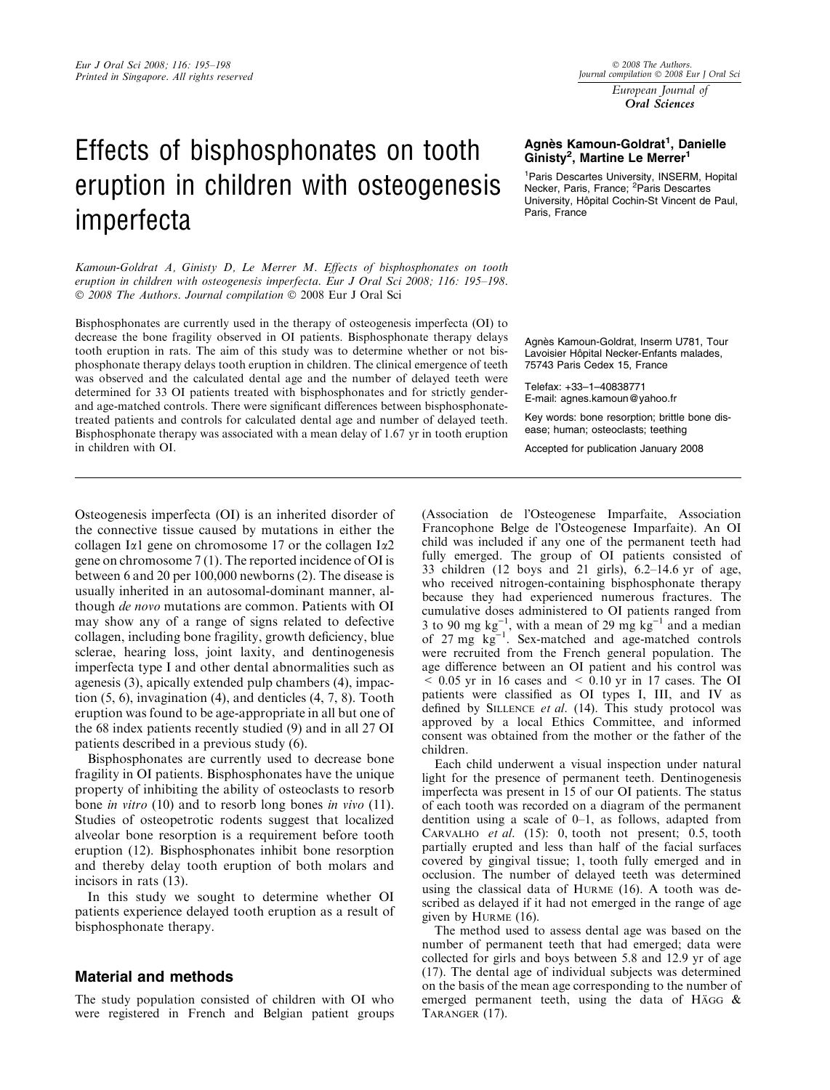# Effects of bisphosphonates on tooth eruption in children with osteogenesis imperfecta

Kamoun-Goldrat A, Ginisty D, Le Merrer M. Effects of bisphosphonates on tooth eruption in children with osteogenesis imperfecta. Eur J Oral Sci 2008; 116: 195-198. © 2008 The Authors. Journal compilation © 2008 Eur J Oral Sci

Bisphosphonates are currently used in the therapy of osteogenesis imperfecta (OI) to decrease the bone fragility observed in OI patients. Bisphosphonate therapy delays tooth eruption in rats. The aim of this study was to determine whether or not bisphosphonate therapy delays tooth eruption in children. The clinical emergence of teeth was observed and the calculated dental age and the number of delayed teeth were determined for 33 OI patients treated with bisphosphonates and for strictly genderand age-matched controls. There were significant differences between bisphosphonatetreated patients and controls for calculated dental age and number of delayed teeth. Bisphosphonate therapy was associated with a mean delay of 1.67 yr in tooth eruption in children with OI.

 $© 2008$  The Authors Journal compilation  $\circledcirc$  2008 Eur J Oral Sci European Journal of

Oral Sciences

### Agnès Kamoun-Goldrat<sup>1</sup>, Danielle Ginisty<sup>2</sup>, Martine Le Merrer<sup>1</sup>

1 Paris Descartes University, INSERM, Hopital Necker, Paris, France; <sup>2</sup>Paris Descartes University, Hôpital Cochin-St Vincent de Paul, Paris, France

Agnès Kamoun-Goldrat, Inserm U781, Tour Lavoisier Hôpital Necker-Enfants malades. 75743 Paris Cedex 15, France

Telefax: +33–1–40838771 E-mail: agnes.kamoun@yahoo.fr

Key words: bone resorption; brittle bone disease; human; osteoclasts; teething

Accepted for publication January 2008

Osteogenesis imperfecta (OI) is an inherited disorder of the connective tissue caused by mutations in either the collagen I $\alpha$ 1 gene on chromosome 17 or the collagen I $\alpha$ 2 gene on chromosome 7 (1). The reported incidence of OI is between 6 and 20 per 100,000 newborns (2). The disease is usually inherited in an autosomal-dominant manner, although de novo mutations are common. Patients with OI may show any of a range of signs related to defective collagen, including bone fragility, growth deficiency, blue sclerae, hearing loss, joint laxity, and dentinogenesis imperfecta type I and other dental abnormalities such as agenesis (3), apically extended pulp chambers (4), impaction  $(5, 6)$ , invagination  $(4)$ , and denticles  $(4, 7, 8)$ . Tooth eruption was found to be age-appropriate in all but one of the 68 index patients recently studied (9) and in all 27 OI patients described in a previous study (6).

Bisphosphonates are currently used to decrease bone fragility in OI patients. Bisphosphonates have the unique property of inhibiting the ability of osteoclasts to resorb bone *in vitro* (10) and to resorb long bones *in vivo* (11). Studies of osteopetrotic rodents suggest that localized alveolar bone resorption is a requirement before tooth eruption (12). Bisphosphonates inhibit bone resorption and thereby delay tooth eruption of both molars and incisors in rats (13).

In this study we sought to determine whether OI patients experience delayed tooth eruption as a result of bisphosphonate therapy.

### Material and methods

The study population consisted of children with OI who were registered in French and Belgian patient groups (Association de l'Osteogenese Imparfaite, Association Francophone Belge de l'Osteogenese Imparfaite). An OI child was included if any one of the permanent teeth had fully emerged. The group of OI patients consisted of 33 children (12 boys and 21 girls), 6.2–14.6 yr of age, who received nitrogen-containing bisphosphonate therapy because they had experienced numerous fractures. The cumulative doses administered to OI patients ranged from 3 to 90 mg  $kg^{-1}$ , with a mean of 29 mg  $kg^{-1}$  and a median of  $27 \text{ mg} \text{ kg}^{-1}$ . Sex-matched and age-matched controls were recruited from the French general population. The age difference between an OI patient and his control was  $\leq$  0.05 yr in 16 cases and  $\leq$  0.10 yr in 17 cases. The OI patients were classified as OI types I, III, and IV as defined by SILLENCE et al.  $(14)$ . This study protocol was approved by a local Ethics Committee, and informed consent was obtained from the mother or the father of the children.

Each child underwent a visual inspection under natural light for the presence of permanent teeth. Dentinogenesis imperfecta was present in 15 of our OI patients. The status of each tooth was recorded on a diagram of the permanent dentition using a scale of 0–1, as follows, adapted from CARVALHO et al.  $(15)$ : 0, tooth not present; 0.5, tooth partially erupted and less than half of the facial surfaces covered by gingival tissue; 1, tooth fully emerged and in occlusion. The number of delayed teeth was determined using the classical data of Hurme (16). A tooth was described as delayed if it had not emerged in the range of age given by HURME (16).

The method used to assess dental age was based on the number of permanent teeth that had emerged; data were collected for girls and boys between 5.8 and 12.9 yr of age (17). The dental age of individual subjects was determined on the basis of the mean age corresponding to the number of emerged permanent teeth, using the data of H $\overline{AGG}$  & Taranger (17).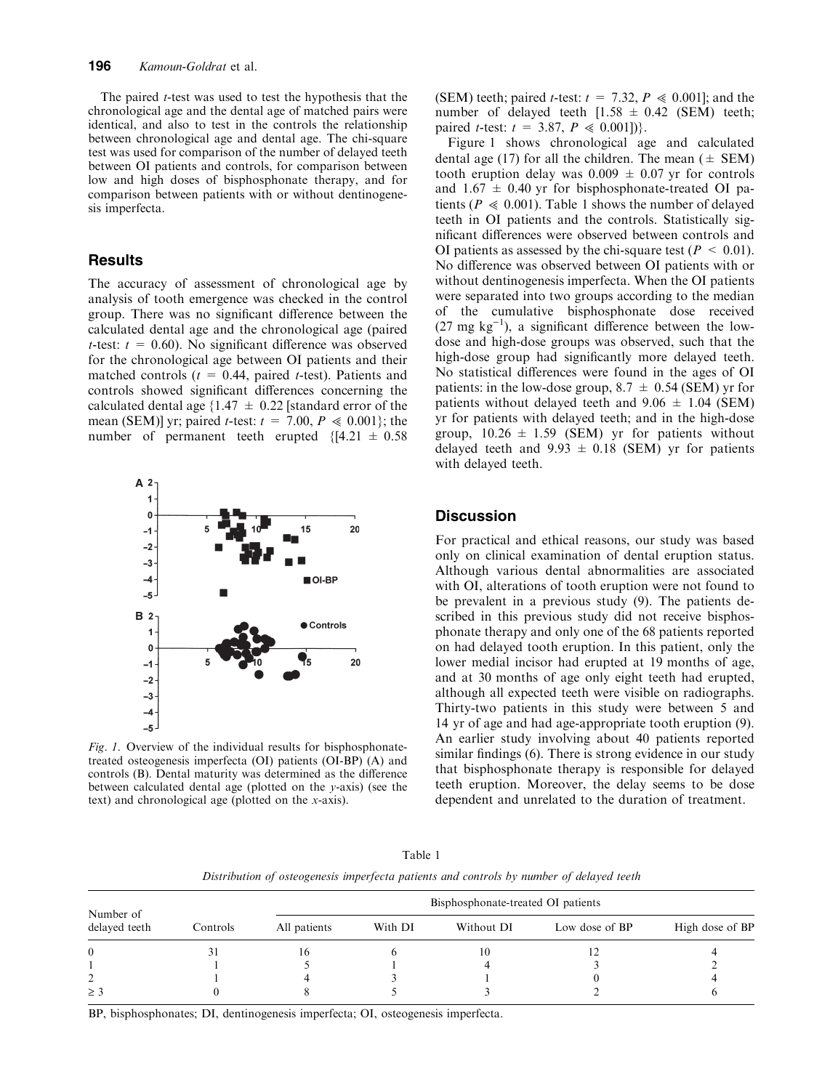The paired  $t$ -test was used to test the hypothesis that the chronological age and the dental age of matched pairs were identical, and also to test in the controls the relationship between chronological age and dental age. The chi-square test was used for comparison of the number of delayed teeth between OI patients and controls, for comparison between low and high doses of bisphosphonate therapy, and for comparison between patients with or without dentinogenesis imperfecta.

### **Results**

The accuracy of assessment of chronological age by analysis of tooth emergence was checked in the control group. There was no significant difference between the calculated dental age and the chronological age (paired t-test:  $t = 0.60$ . No significant difference was observed for the chronological age between OI patients and their matched controls ( $t = 0.44$ , paired t-test). Patients and controls showed significant differences concerning the calculated dental age  $\{1.47 \pm 0.22\}$  [standard error of the mean (SEM)] yr; paired *t*-test:  $t = 7.00$ ,  $P \ll 0.001$ }; the number of permanent teeth erupted  ${4.21 \pm 0.58}$ 



Fig. 1. Overview of the individual results for bisphosphonatetreated osteogenesis imperfecta (OI) patients (OI-BP) (A) and controls (B). Dental maturity was determined as the difference between calculated dental age (plotted on the y-axis) (see the text) and chronological age (plotted on the x-axis).

(SEM) teeth; paired *t*-test:  $t = 7.32$ ,  $P \le 0.001$ ]; and the number of delayed teeth  $[1.58 \pm 0.42$  (SEM) teeth; paired *t*-test:  $t = 3.87, P \le 0.001$ ].

Figure 1 shows chronological age and calculated dental age (17) for all the children. The mean ( $\pm$  SEM) tooth eruption delay was  $0.009 \pm 0.07$  yr for controls and  $1.67 \pm 0.40$  yr for bisphosphonate-treated OI patients ( $P \ll 0.001$ ). Table 1 shows the number of delayed teeth in OI patients and the controls. Statistically significant differences were observed between controls and OI patients as assessed by the chi-square test ( $P < 0.01$ ). No difference was observed between OI patients with or without dentinogenesis imperfecta. When the OI patients were separated into two groups according to the median of the cumulative bisphosphonate dose received  $(27 \text{ mg kg}^{-1})$ , a significant difference between the lowdose and high-dose groups was observed, such that the high-dose group had significantly more delayed teeth. No statistical differences were found in the ages of OI patients: in the low-dose group,  $8.7 \pm 0.54$  (SEM) yr for patients without delayed teeth and  $9.06 \pm 1.04$  (SEM) yr for patients with delayed teeth; and in the high-dose group,  $10.26 \pm 1.59$  (SEM) yr for patients without delayed teeth and  $9.93 \pm 0.18$  (SEM) yr for patients with delayed teeth.

## **Discussion**

For practical and ethical reasons, our study was based only on clinical examination of dental eruption status. Although various dental abnormalities are associated with OI, alterations of tooth eruption were not found to be prevalent in a previous study (9). The patients described in this previous study did not receive bisphosphonate therapy and only one of the 68 patients reported on had delayed tooth eruption. In this patient, only the lower medial incisor had erupted at 19 months of age, and at 30 months of age only eight teeth had erupted, although all expected teeth were visible on radiographs. Thirty-two patients in this study were between 5 and 14 yr of age and had age-appropriate tooth eruption (9). An earlier study involving about 40 patients reported similar findings (6). There is strong evidence in our study that bisphosphonate therapy is responsible for delayed teeth eruption. Moreover, the delay seems to be dose dependent and unrelated to the duration of treatment.

Table 1 Distribution of osteogenesis imperfecta patients and controls by number of delayed teeth

| Number of<br>delayed teeth | Controls | Bisphosphonate-treated OI patients |         |            |                |                 |
|----------------------------|----------|------------------------------------|---------|------------|----------------|-----------------|
|                            |          | All patients                       | With DI | Without DI | Low dose of BP | High dose of BP |
| $\theta$                   | 31       | 16                                 |         | 10         |                |                 |
|                            |          |                                    |         |            |                |                 |
|                            |          |                                    |         |            |                |                 |
| $\geq$ 3                   |          |                                    |         |            |                |                 |

BP, bisphosphonates; DI, dentinogenesis imperfecta; OI, osteogenesis imperfecta.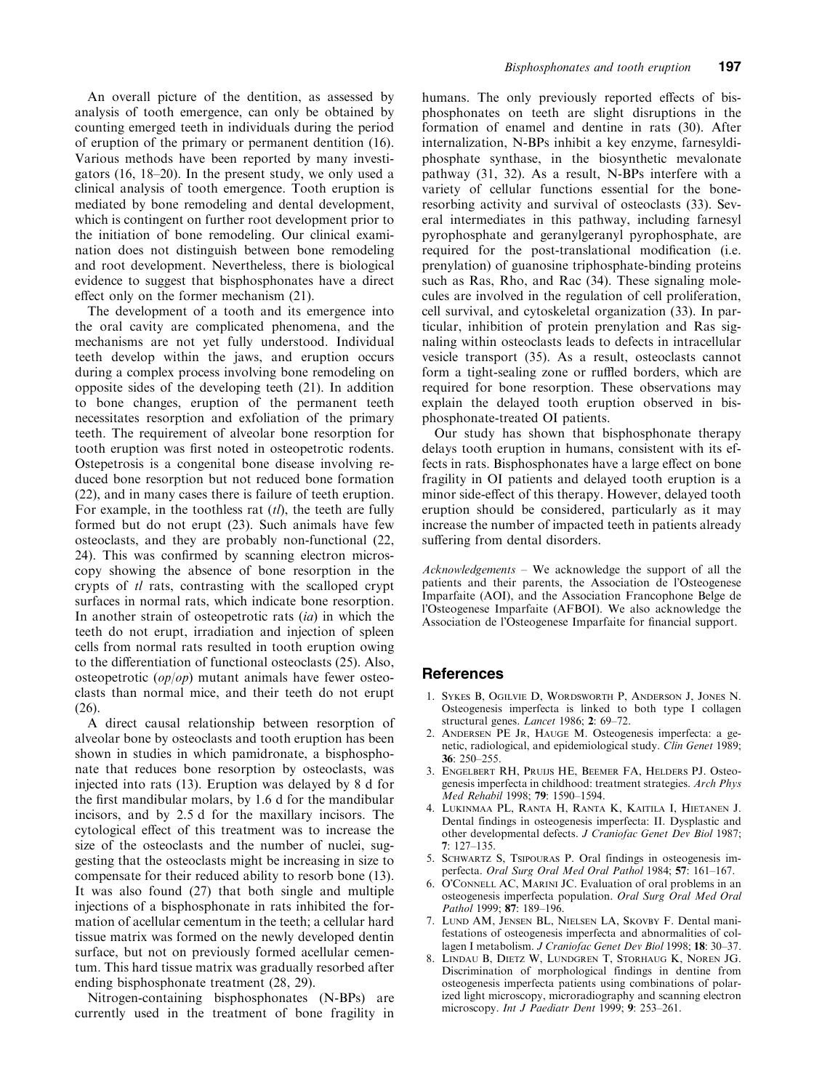An overall picture of the dentition, as assessed by analysis of tooth emergence, can only be obtained by counting emerged teeth in individuals during the period of eruption of the primary or permanent dentition (16). Various methods have been reported by many investigators (16, 18–20). In the present study, we only used a clinical analysis of tooth emergence. Tooth eruption is mediated by bone remodeling and dental development, which is contingent on further root development prior to the initiation of bone remodeling. Our clinical examination does not distinguish between bone remodeling and root development. Nevertheless, there is biological evidence to suggest that bisphosphonates have a direct effect only on the former mechanism (21).

The development of a tooth and its emergence into the oral cavity are complicated phenomena, and the mechanisms are not yet fully understood. Individual teeth develop within the jaws, and eruption occurs during a complex process involving bone remodeling on opposite sides of the developing teeth (21). In addition to bone changes, eruption of the permanent teeth necessitates resorption and exfoliation of the primary teeth. The requirement of alveolar bone resorption for tooth eruption was first noted in osteopetrotic rodents. Ostepetrosis is a congenital bone disease involving reduced bone resorption but not reduced bone formation (22), and in many cases there is failure of teeth eruption. For example, in the toothless rat  $(tl)$ , the teeth are fully formed but do not erupt (23). Such animals have few osteoclasts, and they are probably non-functional (22, 24). This was confirmed by scanning electron microscopy showing the absence of bone resorption in the crypts of tl rats, contrasting with the scalloped crypt surfaces in normal rats, which indicate bone resorption. In another strain of osteopetrotic rats  $(ia)$  in which the teeth do not erupt, irradiation and injection of spleen cells from normal rats resulted in tooth eruption owing to the differentiation of functional osteoclasts (25). Also, osteopetrotic  $\left(\frac{op}{op}\right)$  mutant animals have fewer osteoclasts than normal mice, and their teeth do not erupt (26).

A direct causal relationship between resorption of alveolar bone by osteoclasts and tooth eruption has been shown in studies in which pamidronate, a bisphosphonate that reduces bone resorption by osteoclasts, was injected into rats (13). Eruption was delayed by 8 d for the first mandibular molars, by 1.6 d for the mandibular incisors, and by 2.5 d for the maxillary incisors. The cytological effect of this treatment was to increase the size of the osteoclasts and the number of nuclei, suggesting that the osteoclasts might be increasing in size to compensate for their reduced ability to resorb bone (13). It was also found (27) that both single and multiple injections of a bisphosphonate in rats inhibited the formation of acellular cementum in the teeth; a cellular hard tissue matrix was formed on the newly developed dentin surface, but not on previously formed acellular cementum. This hard tissue matrix was gradually resorbed after ending bisphosphonate treatment (28, 29).

Nitrogen-containing bisphosphonates (N-BPs) are currently used in the treatment of bone fragility in humans. The only previously reported effects of bisphosphonates on teeth are slight disruptions in the formation of enamel and dentine in rats (30). After internalization, N-BPs inhibit a key enzyme, farnesyldiphosphate synthase, in the biosynthetic mevalonate pathway (31, 32). As a result, N-BPs interfere with a variety of cellular functions essential for the boneresorbing activity and survival of osteoclasts (33). Several intermediates in this pathway, including farnesyl pyrophosphate and geranylgeranyl pyrophosphate, are required for the post-translational modification (i.e. prenylation) of guanosine triphosphate-binding proteins such as Ras, Rho, and Rac (34). These signaling molecules are involved in the regulation of cell proliferation, cell survival, and cytoskeletal organization (33). In particular, inhibition of protein prenylation and Ras signaling within osteoclasts leads to defects in intracellular vesicle transport (35). As a result, osteoclasts cannot form a tight-sealing zone or ruffled borders, which are required for bone resorption. These observations may explain the delayed tooth eruption observed in bisphosphonate-treated OI patients.

Our study has shown that bisphosphonate therapy delays tooth eruption in humans, consistent with its effects in rats. Bisphosphonates have a large effect on bone fragility in OI patients and delayed tooth eruption is a minor side-effect of this therapy. However, delayed tooth eruption should be considered, particularly as it may increase the number of impacted teeth in patients already suffering from dental disorders.

Acknowledgements – We acknowledge the support of all the patients and their parents, the Association de l'Osteogenese Imparfaite (AOI), and the Association Francophone Belge de l'Osteogenese Imparfaite (AFBOI). We also acknowledge the Association de l'Osteogenese Imparfaite for financial support.

#### References

- 1. Sykes B, Ogilvie D, Wordsworth P, Anderson J, Jones N. Osteogenesis imperfecta is linked to both type I collagen structural genes. Lancet 1986; 2: 69-72.
- 2. Andersen PE Jr, Hauge M. Osteogenesis imperfecta: a genetic, radiological, and epidemiological study. Clin Genet 1989; 36: 250–255.
- 3. Engelbert RH, Pruijs HE, Beemer FA, Helders PJ. Osteogenesis imperfecta in childhood: treatment strategies. Arch Phys Med Rehabil 1998; 79: 1590–1594.
- 4. Lukinmaa PL, Ranta H, Ranta K, Kaitila I, Hietanen J. Dental findings in osteogenesis imperfecta: II. Dysplastic and other developmental defects. J Craniofac Genet Dev Biol 1987; 7: 127–135.
- 5. Schwartz S, Tsipouras P. Oral findings in osteogenesis imperfecta. Oral Surg Oral Med Oral Pathol 1984; 57: 161–167.
- 6. O'CONNELL AC, MARINI JC. Evaluation of oral problems in an osteogenesis imperfecta population. Oral Surg Oral Med Oral Pathol 1999; 87: 189-196.
- 7. Lund AM, Jensen BL, Nielsen LA, Skovby F. Dental manifestations of osteogenesis imperfecta and abnormalities of collagen I metabolism. J Craniofac Genet Dev Biol 1998; 18: 30–37.
- 8. Lindau B, Dietz W, Lundgren T, Storhaug K, Noren JG. Discrimination of morphological findings in dentine from osteogenesis imperfecta patients using combinations of polarized light microscopy, microradiography and scanning electron microscopy. Int J Paediatr Dent 1999; 9: 253–261.